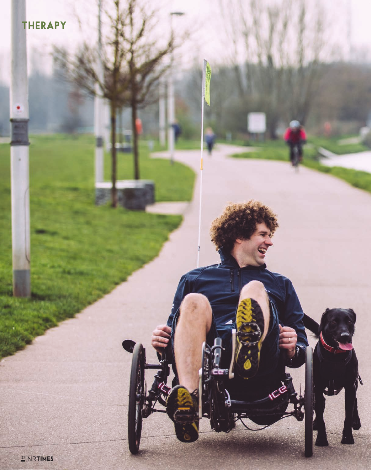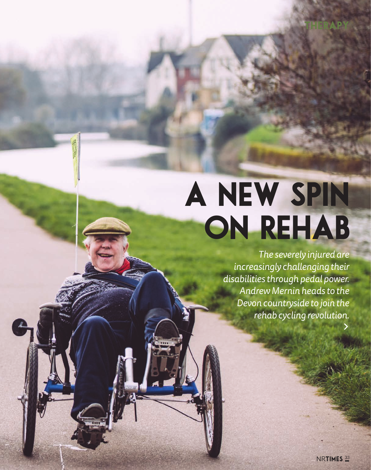## a new spin on rehab

*The severely injured are increasingly challenging their disabilities through pedal power. Andrew Mernin heads to the Devon countryside to join the rehab cycling revolution.* 

therapy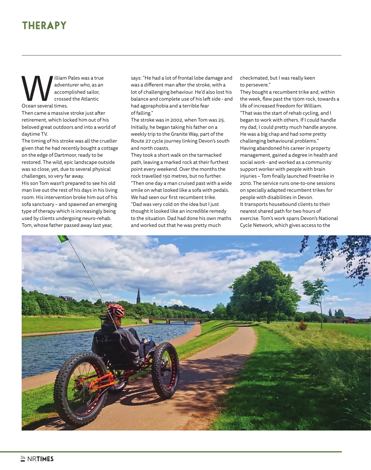## **THERAPY**

Illiam Pales was a true<br>
adventurer who, as an<br>
accomplished sailor,<br>
Crossed the Atlantic<br>
Decan several times. adventurer who, as an accomplished sailor, crossed the Atlantic Ocean several times.

Then came a massive stroke just after retirement, which locked him out of his beloved great outdoors and into a world of daytime TV.

The timing of his stroke was all the crueller given that he had recently bought a cottage on the edge of Dartmoor, ready to be restored. The wild, epic landscape outside was so close, yet, due to several physical challenges, so very far away.

His son Tom wasn't prepared to see his old man live out the rest of his days in his living room. His intervention broke him out of his sofa sanctuary – and spawned an emerging type of therapy which is increasingly being used by clients undergoing neuro-rehab. Tom, whose father passed away last year,

says: "He had a lot of frontal lobe damage and was a diferent man afer the stroke, with a lot of challenging behaviour. He'd also lost his balance and complete use of his left side - and had agoraphobia and a terrible fear of falling."

The stroke was in 2002, when Tom was 25. Initially, he began taking his father on a weekly trip to the Granite Way, part of the Route 27 cycle journey linking Devon's south and north coasts.

They took a short walk on the tarmacked path, leaving a marked rock at their furthest point every weekend. Over the months the rock travelled 150 metres, but no further. "Then one day a man cruised past with a wide smile on what looked like a sofa with pedals. We had seen our frst recumbent trike. "Dad was very cold on the idea but I just thought it looked like an incredible remedy to the situation. Dad had done his own maths and worked out that he was pretty much

checkmated, but I was really keen to persevere."

They bought a recumbent trike and, within the week, few past the 150m rock, towards a life of increased freedom for William. "That was the start of rehab cycling, and I began to work with others. If I could handle my dad, I could pretty much handle anyone. He was a big chap and had some pretty challenging behavioural problems." Having abandoned his career in property management, gained a degree in health and social work - and worked as a community support worker with people with brain injuries – Tom fnally launched Freetrike in 2010. The service runs one-to-one sessions on specially adapted recumbent trikes for people with disabilities in Devon. It transports housebound clients to their nearest shared path for two hours of exercise. Tom's work spans Devon's National Cycle Network, which gives access to the

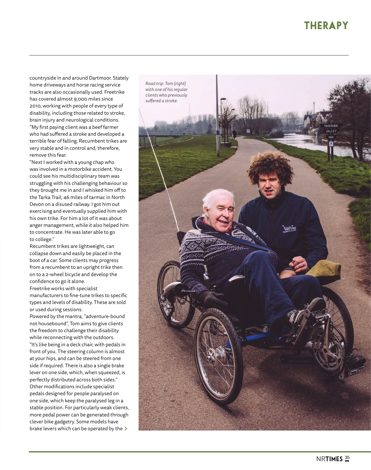## **THERAPY**

countryside in and around Dartmoor. Stately home driveways and horse racing service tracks are also occasionally used. Freetrike has covered almost 9,000 miles since 2010, working with people of every type of disability, including those related to stroke, brain injury and neurological conditions. "My frst paying client was a beef farmer who had su fered a stroke and developed a terrible fear of falling. Recumbent trikes are very stable and in control and, therefore, remove this fear.

"Next I worked with a young chap who was involved in a motorbike accident. You could see his multidisciplinary team was struggling with his challenging behaviour so they brought me in and I whisked him o f to the Tarka Trail; 46 miles of tarmac in North Devon on a disused railway. I got him out exercising and eventually supplied him with his own trike. For him a lot of it was about anger management, while it also helped him to concentrate. He was later able to go to college."

Recumbent trikes are lightweight, can collapse down and easily be placed in the boot of a car. Some clients may progress from a recumbent to an upright trike then on to a 2-wheel bicycle and develop the con fdence to go it alone. Freetrike works with specialist

manufacturers to fne-tune trikes to speci fc types and levels of disability. These are sold or used during sessions.

Powered by the mantra, "adventure-bound not housebound", Tom aims to give clients the freedom to challenge their disability while reconnecting with the outdoors. "It's like being in a deck chair, with pedals in front of you. The steering column is almost at your hips, and can be steered from one side if required. There is also a single brake lever on one side, which, when squeezed, is perfectly distributed across both sides." Other modi fcations include specialist pedals designed for people paralysed on one side, which keep the paralysed leg in a stable position. For particularly weak clients, more pedal power can be generated through clever bike gadgetry. Some models have brake levers which can be operated by the  $\geq$ 

*Road trip: Tom (right) with one of his regular clients who previously su fered a stroke.*